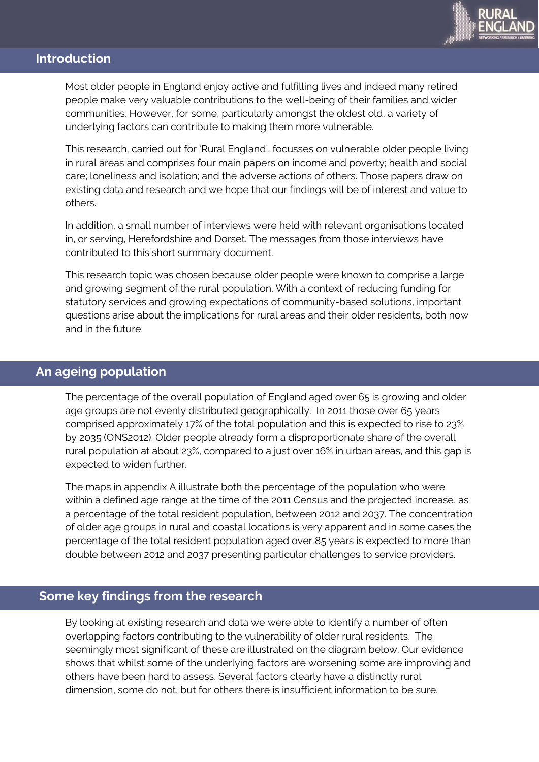

# **Introduction**

Most older people in England enjoy active and fulfilling lives and indeed many retired people make very valuable contributions to the well-being of their families and wider communities. However, for some, particularly amongst the oldest old, a variety of underlying factors can contribute to making them more vulnerable.

This research, carried out for 'Rural England', focusses on vulnerable older people living in rural areas and comprises four main papers on income and poverty; health and social care; loneliness and isolation; and the adverse actions of others. Those papers draw on existing data and research and we hope that our findings will be of interest and value to others.

In addition, a small number of interviews were held with relevant organisations located in, or serving, Herefordshire and Dorset. The messages from those interviews have contributed to this short summary document.

This research topic was chosen because older people were known to comprise a large and growing segment of the rural population. With a context of reducing funding for statutory services and growing expectations of community-based solutions, important questions arise about the implications for rural areas and their older residents, both now and in the future.

## **An ageing population**

The percentage of the overall population of England aged over 65 is growing and older age groups are not evenly distributed geographically. In 2011 those over 65 years comprised approximately 17% of the total population and this is expected to rise to 23% by 2035 (ONS2012). Older people already form a disproportionate share of the overall rural population at about 23%, compared to a just over 16% in urban areas, and this gap is expected to widen further.

The maps in appendix A illustrate both the percentage of the population who were within a defined age range at the time of the 2011 Census and the projected increase, as a percentage of the total resident population, between 2012 and 2037. The concentration of older age groups in rural and coastal locations is very apparent and in some cases the percentage of the total resident population aged over 85 years is expected to more than double between 2012 and 2037 presenting particular challenges to service providers.

## **Some key findings from the research**

By looking at existing research and data we were able to identify a number of often overlapping factors contributing to the vulnerability of older rural residents. The seemingly most significant of these are illustrated on the diagram below. Our evidence shows that whilst some of the underlying factors are worsening some are improving and others have been hard to assess. Several factors clearly have a distinctly rural dimension, some do not, but for others there is insufficient information to be sure.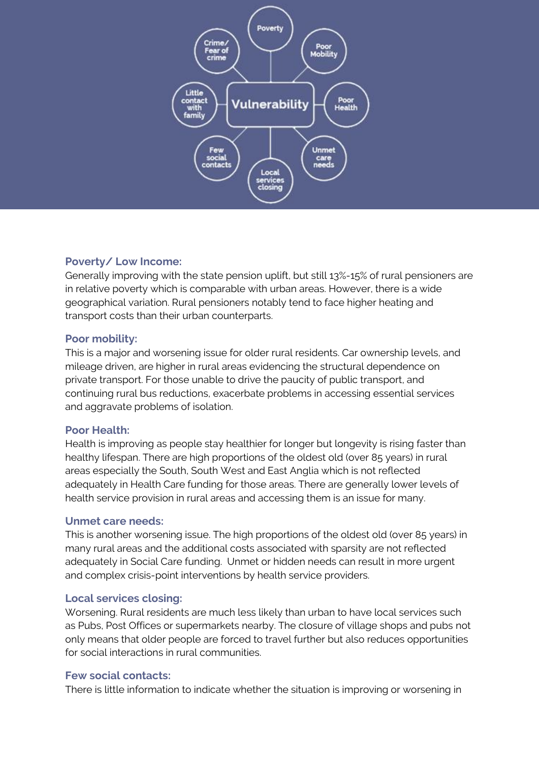

## **Poverty/ Low Income:**

Generally improving with the state pension uplift, but still 13%-15% of rural pensioners are in relative poverty which is comparable with urban areas. However, there is a wide geographical variation. Rural pensioners notably tend to face higher heating and transport costs than their urban counterparts.

#### **Poor mobility:**

This is a major and worsening issue for older rural residents. Car ownership levels, and mileage driven, are higher in rural areas evidencing the structural dependence on private transport. For those unable to drive the paucity of public transport, and continuing rural bus reductions, exacerbate problems in accessing essential services and aggravate problems of isolation.

## **Poor Health:**

Health is improving as people stay healthier for longer but longevity is rising faster than healthy lifespan. There are high proportions of the oldest old (over 85 years) in rural areas especially the South, South West and East Anglia which is not reflected adequately in Health Care funding for those areas. There are generally lower levels of health service provision in rural areas and accessing them is an issue for many.

## **Unmet care needs:**

This is another worsening issue. The high proportions of the oldest old (over 85 years) in many rural areas and the additional costs associated with sparsity are not reflected adequately in Social Care funding. Unmet or hidden needs can result in more urgent and complex crisis-point interventions by health service providers.

## **Local services closing:**

Worsening. Rural residents are much less likely than urban to have local services such as Pubs, Post Offices or supermarkets nearby. The closure of village shops and pubs not only means that older people are forced to travel further but also reduces opportunities for social interactions in rural communities.

## **Few social contacts:**

There is little information to indicate whether the situation is improving or worsening in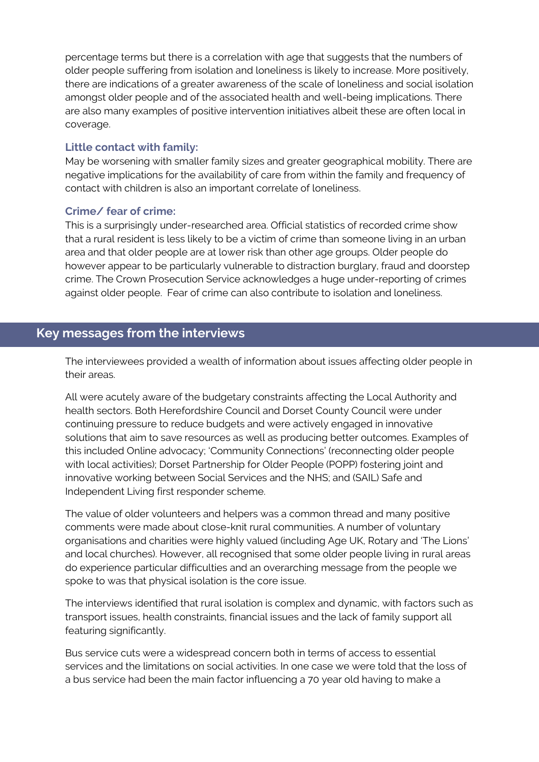percentage terms but there is a correlation with age that suggests that the numbers of older people suffering from isolation and loneliness is likely to increase. More positively, there are indications of a greater awareness of the scale of loneliness and social isolation amongst older people and of the associated health and well-being implications. There are also many examples of positive intervention initiatives albeit these are often local in coverage.

#### **Little contact with family:**

May be worsening with smaller family sizes and greater geographical mobility. There are negative implications for the availability of care from within the family and frequency of contact with children is also an important correlate of loneliness.

#### **Crime/ fear of crime:**

This is a surprisingly under-researched area. Official statistics of recorded crime show that a rural resident is less likely to be a victim of crime than someone living in an urban area and that older people are at lower risk than other age groups. Older people do however appear to be particularly vulnerable to distraction burglary, fraud and doorstep crime. The Crown Prosecution Service acknowledges a huge under-reporting of crimes against older people. Fear of crime can also contribute to isolation and loneliness.

# **Key messages from the interviews**

The interviewees provided a wealth of information about issues affecting older people in their areas.

All were acutely aware of the budgetary constraints affecting the Local Authority and health sectors. Both Herefordshire Council and Dorset County Council were under continuing pressure to reduce budgets and were actively engaged in innovative solutions that aim to save resources as well as producing better outcomes. Examples of this included Online advocacy; 'Community Connections' (reconnecting older people with local activities); Dorset Partnership for Older People (POPP) fostering joint and innovative working between Social Services and the NHS; and (SAIL) Safe and Independent Living first responder scheme.

The value of older volunteers and helpers was a common thread and many positive comments were made about close-knit rural communities. A number of voluntary organisations and charities were highly valued (including Age UK, Rotary and 'The Lions' and local churches). However, all recognised that some older people living in rural areas do experience particular difficulties and an overarching message from the people we spoke to was that physical isolation is the core issue.

The interviews identified that rural isolation is complex and dynamic, with factors such as transport issues, health constraints, financial issues and the lack of family support all featuring significantly.

Bus service cuts were a widespread concern both in terms of access to essential services and the limitations on social activities. In one case we were told that the loss of a bus service had been the main factor influencing a 70 year old having to make a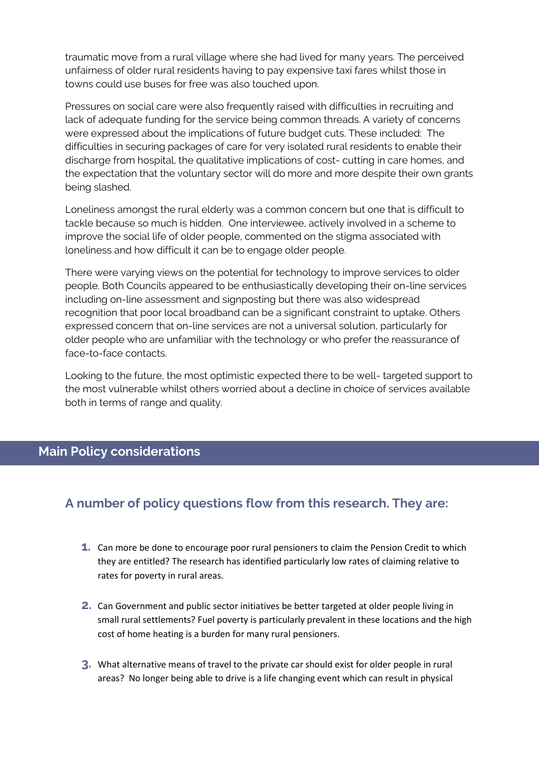traumatic move from a rural village where she had lived for many years. The perceived unfairness of older rural residents having to pay expensive taxi fares whilst those in towns could use buses for free was also touched upon.

Pressures on social care were also frequently raised with difficulties in recruiting and lack of adequate funding for the service being common threads. A variety of concerns were expressed about the implications of future budget cuts. These included: The difficulties in securing packages of care for very isolated rural residents to enable their discharge from hospital, the qualitative implications of cost- cutting in care homes, and the expectation that the voluntary sector will do more and more despite their own grants being slashed.

Loneliness amongst the rural elderly was a common concern but one that is difficult to tackle because so much is hidden. One interviewee, actively involved in a scheme to improve the social life of older people, commented on the stigma associated with loneliness and how difficult it can be to engage older people.

There were varying views on the potential for technology to improve services to older people. Both Councils appeared to be enthusiastically developing their on-line services including on-line assessment and signposting but there was also widespread recognition that poor local broadband can be a significant constraint to uptake. Others expressed concern that on-line services are not a universal solution, particularly for older people who are unfamiliar with the technology or who prefer the reassurance of face-to-face contacts.

Looking to the future, the most optimistic expected there to be well- targeted support to the most vulnerable whilst others worried about a decline in choice of services available both in terms of range and quality.

## **Main Policy considerations**

# **A number of policy questions flow from this research. They are:**

- **1.** Can more be done to encourage poor rural pensioners to claim the Pension Credit to which they are entitled? The research has identified particularly low rates of claiming relative to rates for poverty in rural areas.
- **2.** Can Government and public sector initiatives be better targeted at older people living in small rural settlements? Fuel poverty is particularly prevalent in these locations and the high cost of home heating is a burden for many rural pensioners.
- **3.** What alternative means of travel to the private car should exist for older people in rural areas? No longer being able to drive is a life changing event which can result in physical